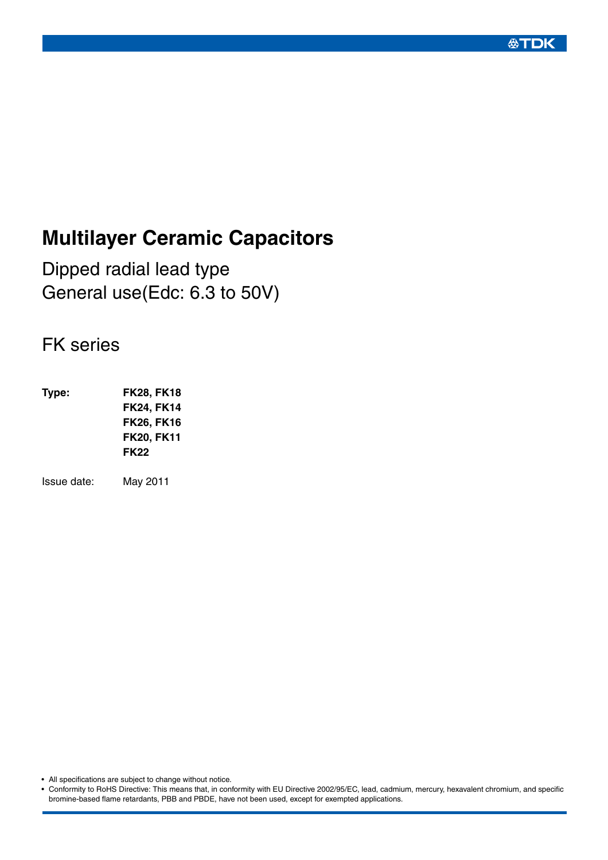# **Multilayer Ceramic Capacitors**

Dipped radial lead type General use(Edc: 6.3 to 50V)

# FK series

**Type: FK28, FK18 FK24, FK14 FK26, FK16 FK20, FK11 FK22**

Issue date: May 2011

• All specifications are subject to change without notice.

• Conformity to RoHS Directive: This means that, in conformity with EU Directive 2002/95/EC, lead, cadmium, mercury, hexavalent chromium, and specific bromine-based flame retardants, PBB and PBDE, have not been used, except for exempted applications.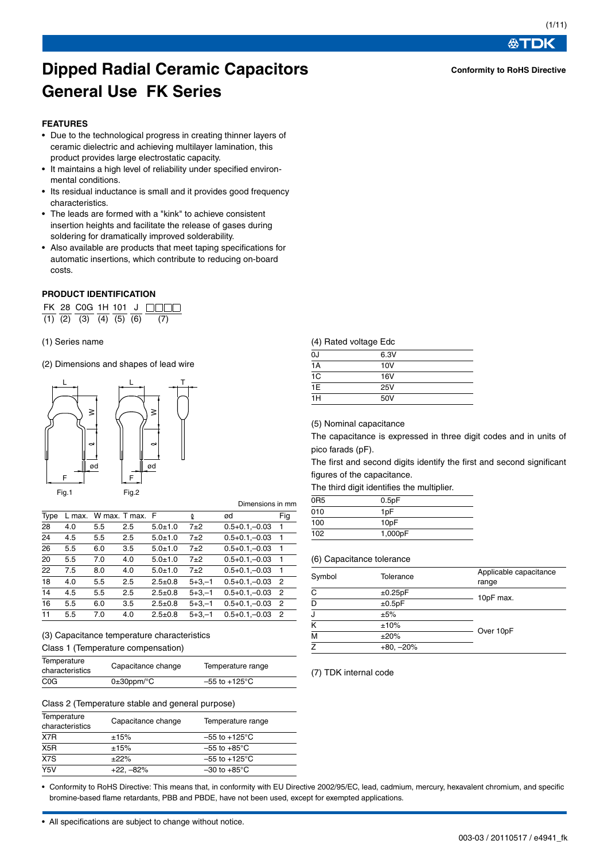**Conformity to RoHS Directive**

公丁

# **Dipped Radial Ceramic Capacitors General Use FK Series**

#### **FEATURES**

- Due to the technological progress in creating thinner layers of ceramic dielectric and achieving multilayer lamination, this product provides large electrostatic capacity.
- It maintains a high level of reliability under specified environmental conditions.
- Its residual inductance is small and it provides good frequency characteristics.
- The leads are formed with a "kink" to achieve consistent insertion heights and facilitate the release of gases during soldering for dramatically improved solderability.
- Also available are products that meet taping specifications for automatic insertions, which contribute to reducing on-board costs.

#### **PRODUCT IDENTIFICATION**

FK 28 C0G 1H 101 J  $\overline{(1)}$   $\overline{(2)}$   $\overline{(3)}$   $\overline{(4)}$   $\overline{(5)}$   $\overline{(6)}$   $\overline{(7)}$ 

#### (1) Series name

(2) Dimensions and shapes of lead wire



Dimensions in mm

| Type | L max. | W max. T max. F |     |               | Q           | ød                 | Fig          |
|------|--------|-----------------|-----|---------------|-------------|--------------------|--------------|
| 28   | 4.0    | 5.5             | 2.5 | $5.0 + 1.0$   | 7±2         | $0.5 + 0.1 - 0.03$ | 1            |
| 24   | 4.5    | 5.5             | 2.5 | $5.0 + 1.0$   | $7+2$       | $0.5 + 0.1 - 0.03$ | -1           |
| 26   | 5.5    | 6.0             | 3.5 | $5.0 + 1.0$   | $7\pm2$     | $0.5 + 0.1 - 0.03$ | -1           |
| 20   | 5.5    | 7.0             | 4.0 | $5.0 + 1.0$   | $7\pm2$     | $0.5 + 0.1 - 0.03$ | $\mathbf{1}$ |
| 22   | 7.5    | 8.0             | 4.0 | $5.0 + 1.0$   | $7\pm2$     | $0.5 + 0.1 - 0.03$ | -1           |
| 18   | 4.0    | 5.5             | 2.5 | $2.5 \pm 0.8$ | $5 + 3 - 1$ | $0.5 + 0.1 - 0.03$ | -2           |
| 14   | 4.5    | 5.5             | 2.5 | $2.5 \pm 0.8$ | $5 + 3 - 1$ | $0.5 + 0.1 - 0.03$ | - 2          |
| 16   | 5.5    | 6.0             | 3.5 | $2.5 \pm 0.8$ | $5 + 3 - 1$ | $0.5 + 0.1 - 0.03$ | -2           |
| 11   | 5.5    | 7.0             | 4.0 | $2.5 \pm 0.8$ | $5 + 3 - 1$ | $0.5 + 0.1 - 0.03$ | - 2          |

#### (3) Capacitance temperature characteristics

Class 1 (Temperature compensation)

| Temperature      | Capacitance change         | Temperature range         |  |
|------------------|----------------------------|---------------------------|--|
| characteristics  |                            |                           |  |
| C <sub>0</sub> G | $0\pm 30$ ppm/ $\degree$ C | $-55$ to $+125^{\circ}$ C |  |

#### Class 2 (Temperature stable and general purpose)

| Temperature<br>characteristics | Capacitance change | Temperature range         |
|--------------------------------|--------------------|---------------------------|
| X7R                            | ±15%               | $-55$ to $+125^{\circ}$ C |
| X <sub>5</sub> R               | ±15%               | $-55$ to $+85^{\circ}$ C  |
| $\overline{X7S}$               | ±22%               | $-55$ to $+125^{\circ}$ C |
| Y <sub>5</sub> V               | $+22. -82%$        | $-30$ to $+85^{\circ}$ C  |

(4) Rated voltage Edc

| 0J              | 6.3V |  |
|-----------------|------|--|
| 1A              | 10V  |  |
| $\overline{1C}$ | 16V  |  |
| 1E              | 25V  |  |
| 1H              | 50V  |  |

(5) Nominal capacitance

The capacitance is expressed in three digit codes and in units of pico farads (pF).

The first and second digits identify the first and second significant figures of the capacitance.

The third digit identifies the multiplier.

| 0 <sub>R5</sub> | 0.5pF            |  |
|-----------------|------------------|--|
| 010             | 1 <sub>D</sub> F |  |
| 100             | 10pF             |  |
| 102             | 1,000pF          |  |

#### (6) Capacitance tolerance

| Symbol         | Tolerance   | Applicable capacitance<br>range |
|----------------|-------------|---------------------------------|
| С              | ±0.25pF     | 10pF max.                       |
| D              | ±0.5pF      |                                 |
| J              | ±5%         |                                 |
| K              | ±10%        |                                 |
| M              | ±20%        | Over 10pF                       |
| $\overline{z}$ | $+80, -20%$ |                                 |

#### (7) TDK internal code

• Conformity to RoHS Directive: This means that, in conformity with EU Directive 2002/95/EC, lead, cadmium, mercury, hexavalent chromium, and specific bromine-based flame retardants, PBB and PBDE, have not been used, except for exempted applications.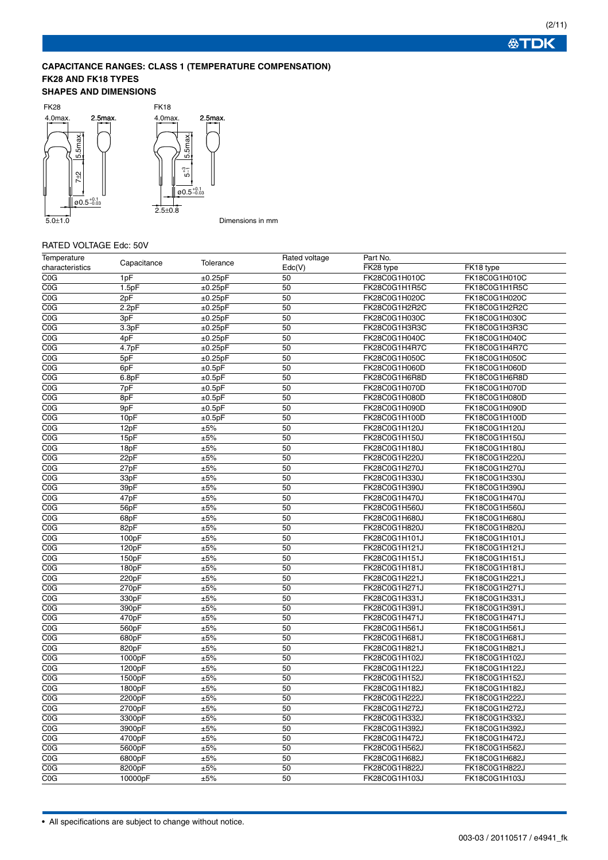# **CAPACITANCE RANGES: CLASS 1 (TEMPERATURE COMPENSATION) FK28 AND FK18 TYPES**

#### **SHAPES AND DIMENSIONS**



# Dimensions in mm

# RATED VOLTAGE Edc: 50V

| Temperature             | Capacitance        | Tolerance | Rated voltage | Part No.      |               |
|-------------------------|--------------------|-----------|---------------|---------------|---------------|
| characteristics         |                    |           | Edc(V)        | FK28 type     | FK18 type     |
| COG                     | 1pF                | ±0.25pF   | 50            | FK28C0G1H010C | FK18C0G1H010C |
| COG                     | 1.5pF              | ±0.25pF   | 50            | FK28C0G1H1R5C | FK18C0G1H1R5C |
| COG                     | 2pF                | ±0.25pF   | 50            | FK28C0G1H020C | FK18C0G1H020C |
| C <sub>0</sub> G        | 2.2pF              | ±0.25pF   | 50            | FK28C0G1H2R2C | FK18C0G1H2R2C |
| C <sub>0</sub> G        | 3pF                | ±0.25pF   | 50            | FK28C0G1H030C | FK18C0G1H030C |
| C <sub>0</sub> G        | 3.3pF              | ±0.25pF   | 50            | FK28C0G1H3R3C | FK18C0G1H3R3C |
| C <sub>0</sub> G        | 4pF                | ±0.25pF   | 50            | FK28C0G1H040C | FK18C0G1H040C |
| C <sub>0</sub> G        | 4.7pF              | ±0.25pF   | 50            | FK28C0G1H4R7C | FK18C0G1H4R7C |
| C <sub>0</sub> G        | 5pF                | ±0.25pF   | 50            | FK28C0G1H050C | FK18C0G1H050C |
| C <sub>0</sub> G        | 6pF                | ±0.5pF    | 50            | FK28C0G1H060D | FK18C0G1H060D |
| COG                     | 6.8pF              | ±0.5pF    | 50            | FK28C0G1H6R8D | FK18C0G1H6R8D |
| $\overline{\text{COG}}$ | 7pF                | ±0.5pF    | 50            | FK28C0G1H070D | FK18C0G1H070D |
| C <sub>0</sub> G        | 8pF                | ±0.5pF    | 50            | FK28C0G1H080D | FK18C0G1H080D |
| COG                     | 9pF                | ±0.5pF    | 50            | FK28C0G1H090D | FK18C0G1H090D |
| C <sub>0</sub> G        | 10pF               | ±0.5pF    | 50            | FK28C0G1H100D | FK18C0G1H100D |
| C <sub>0</sub> G        | 12pF               | ±5%       | 50            | FK28C0G1H120J | FK18C0G1H120J |
| COG                     | 15pF               | ±5%       | 50            | FK28C0G1H150J | FK18C0G1H150J |
| COG                     | 18pF               | ±5%       | 50            | FK28C0G1H180J | FK18C0G1H180J |
| C <sub>0</sub> G        | 22pF               | ±5%       | 50            | FK28C0G1H220J | FK18C0G1H220J |
| COG                     | 27pF               | ±5%       | 50            | FK28C0G1H270J | FK18C0G1H270J |
| COG                     | 33pF               | ±5%       | 50            | FK28C0G1H330J | FK18C0G1H330J |
| C <sub>0</sub> G        | 39pF               | ±5%       | 50            | FK28C0G1H390J | FK18C0G1H390J |
| COG                     | 47pF               | ±5%       | 50            | FK28C0G1H470J | FK18C0G1H470J |
| COG                     | 56pF               | ±5%       | 50            | FK28C0G1H560J | FK18C0G1H560J |
| C <sub>0</sub> G        | 68pF               | ±5%       | 50            | FK28C0G1H680J | FK18C0G1H680J |
| COG                     | 82pF               | ±5%       | 50            | FK28C0G1H820J | FK18C0G1H820J |
| C <sub>0</sub> G        | 100pF              | ±5%       | 50            | FK28C0G1H101J | FK18C0G1H101J |
| C <sub>0</sub> G        | 120pF              | ±5%       | 50            | FK28C0G1H121J | FK18C0G1H121J |
| COG                     | 150pF              | ±5%       | 50            | FK28C0G1H151J | FK18C0G1H151J |
| COG                     | 180pF              | ±5%       | 50            | FK28C0G1H181J | FK18C0G1H181J |
| C <sub>0</sub> G        | 220pF              | ±5%       | 50            | FK28C0G1H221J | FK18C0G1H221J |
| CO <sub>G</sub>         | 270pF              | ±5%       | 50            | FK28C0G1H271J | FK18C0G1H271J |
| COG                     | 330pF              | ±5%       | 50            | FK28C0G1H331J | FK18C0G1H331J |
| COG                     | 390 <sub>p</sub> F | ±5%       | 50            | FK28C0G1H391J | FK18C0G1H391J |
| COG                     | 470pF              | ±5%       | 50            | FK28C0G1H471J | FK18C0G1H471J |
| COG                     | 560pF              | ±5%       | 50            | FK28C0G1H561J | FK18C0G1H561J |
| C <sub>0</sub> G        | 680pF              | ±5%       | 50            | FK28C0G1H681J | FK18C0G1H681J |
| COG                     | 820pF              | ±5%       | 50            | FK28C0G1H821J | FK18C0G1H821J |
| COG                     | 1000pF             | ±5%       | 50            | FK28C0G1H102J | FK18C0G1H102J |
| COG                     | 1200pF             | ±5%       | 50            | FK28C0G1H122J | FK18C0G1H122J |
| $\overline{\text{COG}}$ | 1500pF             | ±5%       | 50            | FK28C0G1H152J | FK18C0G1H152J |
| C <sub>0</sub> G        | 1800pF             | ±5%       | 50            | FK28C0G1H182J | FK18C0G1H182J |
| COG                     | 2200pF             | ±5%       | 50            | FK28C0G1H222J | FK18C0G1H222J |
| C <sub>0</sub> G        | 2700pF             | ±5%       | 50            | FK28C0G1H272J | FK18C0G1H272J |
| C <sub>0</sub> G        | 3300pF             | ±5%       | 50            | FK28C0G1H332J | FK18C0G1H332J |
| C <sub>0</sub> G        | 3900pF             | ±5%       | 50            | FK28C0G1H392J | FK18C0G1H392J |
| $\overline{\text{COG}}$ | 4700pF             | ±5%       | 50            | FK28C0G1H472J | FK18C0G1H472J |
| C <sub>0</sub> G        | 5600pF             | ±5%       | 50            | FK28C0G1H562J | FK18C0G1H562J |
| COG                     | 6800pF             | ±5%       | 50            | FK28C0G1H682J | FK18C0G1H682J |
| COG                     | 8200pF             | ±5%       | 50            | FK28C0G1H822J | FK18C0G1H822J |
| COG                     | 10000pF            | ±5%       | 50            | FK28C0G1H103J | FK18C0G1H103J |
|                         |                    |           |               |               |               |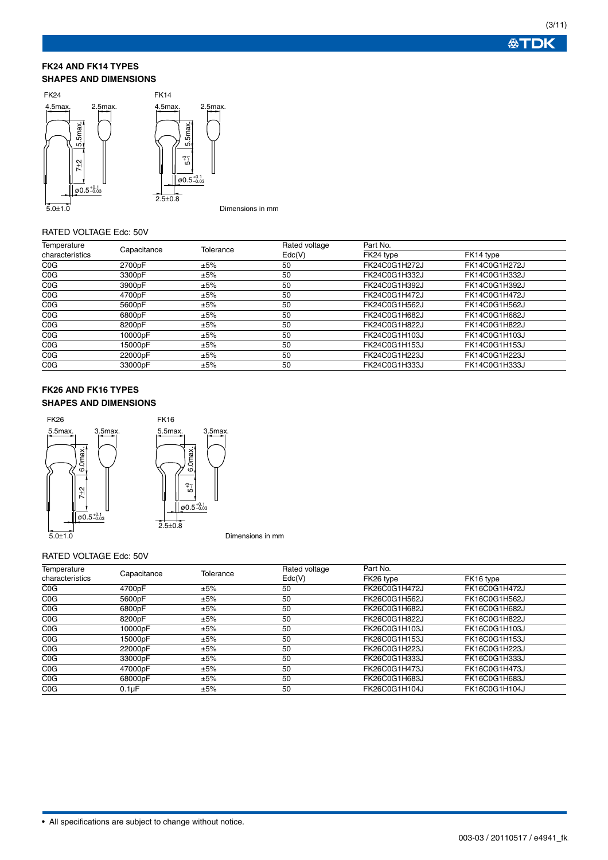#### **FK24 AND FK14 TYPES SHAPES AND DIMENSIONS**



Dimensions in mm

#### RATED VOLTAGE Edc: 50V

| Temperature<br>characteristics | Capacitance | Tolerance | Rated voltage<br>$\mathsf{Edc}(V)$ | Part No.      |               |
|--------------------------------|-------------|-----------|------------------------------------|---------------|---------------|
|                                |             |           |                                    | FK24 type     | FK14 type     |
| C <sub>0</sub> G               | 2700pF      | ±5%       | 50                                 | FK24C0G1H272J | FK14C0G1H272J |
| C <sub>0</sub> G               | 3300pF      | ±5%       | 50                                 | FK24C0G1H332J | FK14C0G1H332J |
| C <sub>0</sub> G               | 3900pF      | ±5%       | 50                                 | FK24C0G1H392J | FK14C0G1H392J |
| C <sub>0</sub> G               | 4700pF      | ±5%       | 50                                 | FK24C0G1H472J | FK14C0G1H472J |
| C <sub>0</sub> G               | 5600pF      | ±5%       | 50                                 | FK24C0G1H562J | FK14C0G1H562J |
| C <sub>0</sub> G               | 6800pF      | ±5%       | 50                                 | FK24C0G1H682J | FK14C0G1H682J |
| C <sub>0</sub> G               | 8200pF      | ±5%       | 50                                 | FK24C0G1H822J | FK14C0G1H822J |
| C <sub>0</sub> G               | 10000pF     | ±5%       | 50                                 | FK24C0G1H103J | FK14C0G1H103J |
| C <sub>0</sub> G               | 15000pF     | ±5%       | 50                                 | FK24C0G1H153J | FK14C0G1H153J |
| C <sub>0</sub> G               | 22000pF     | ±5%       | 50                                 | FK24C0G1H223J | FK14C0G1H223J |
| C <sub>0</sub> G               | 33000pF     | ±5%       | 50                                 | FK24C0G1H333J | FK14C0G1H333J |

# **FK26 AND FK16 TYPES SHAPES AND DIMENSIONS**



#### RATED VOLTAGE Edc: 50V

| Temperature<br>characteristics | Capacitance |           | Rated voltage<br>$\mathsf{Edc}(V)$ | Part No.      |               |
|--------------------------------|-------------|-----------|------------------------------------|---------------|---------------|
|                                |             | Tolerance |                                    | FK26 type     | FK16 type     |
| COG                            | 4700pF      | ±5%       | 50                                 | FK26C0G1H472J | FK16C0G1H472J |
| C <sub>0</sub> G               | 5600pF      | ±5%       | 50                                 | FK26C0G1H562J | FK16C0G1H562J |
| COG                            | 6800pF      | ±5%       | 50                                 | FK26C0G1H682J | FK16C0G1H682J |
| COG                            | 8200pF      | ±5%       | 50                                 | FK26C0G1H822J | FK16C0G1H822J |
| COG                            | 10000pF     | ±5%       | 50                                 | FK26C0G1H103J | FK16C0G1H103J |
| COG                            | 15000pF     | ±5%       | 50                                 | FK26C0G1H153J | FK16C0G1H153J |
| COG                            | 22000pF     | ±5%       | 50                                 | FK26C0G1H223J | FK16C0G1H223J |
| COG                            | 33000pF     | ±5%       | 50                                 | FK26C0G1H333J | FK16C0G1H333J |
| COG                            | 47000pF     | ±5%       | 50                                 | FK26C0G1H473J | FK16C0G1H473J |
| COG                            | 68000pF     | ±5%       | 50                                 | FK26C0G1H683J | FK16C0G1H683J |
| COG                            | $0.1\mu F$  | ±5%       | 50                                 | FK26C0G1H104J | FK16C0G1H104J |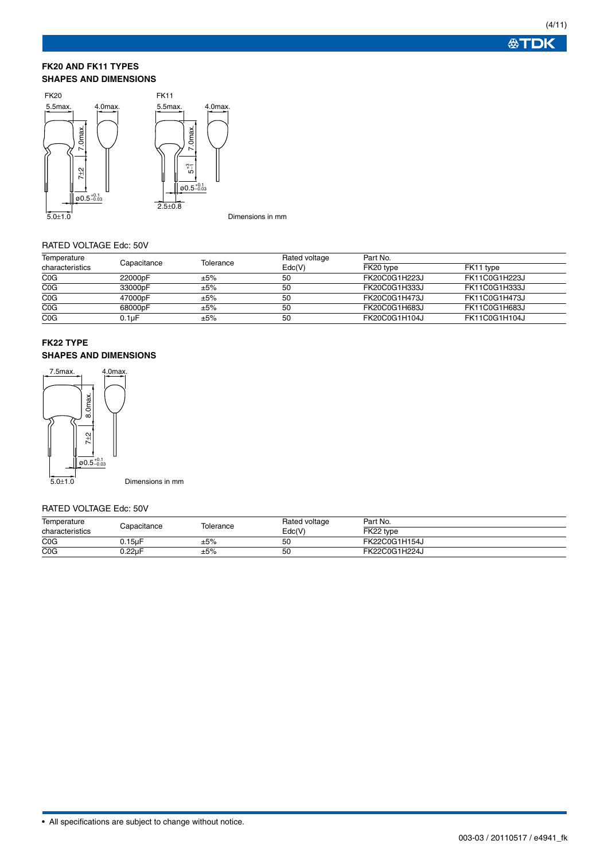#### **FK20 AND FK11 TYPES SHAPES AND DIMENSIONS**



#### Dimensions in mm

# RATED VOLTAGE Edc: 50V

| Temperature<br>characteristics | Capacitance | Tolerance | Rated voltage<br>Edc(V) | Part No.      |               |  |
|--------------------------------|-------------|-----------|-------------------------|---------------|---------------|--|
|                                |             |           |                         | FK20 type     | FK11 type     |  |
| C <sub>0</sub> G               | 22000pF     | ±5%       | 50                      | FK20C0G1H223J | FK11C0G1H223J |  |
| C <sub>0</sub> G               | 33000pF     | ±5%       | 50                      | FK20C0G1H333J | FK11C0G1H333J |  |
| C <sub>0</sub> G               | 47000pF     | ±5%       | 50                      | FK20C0G1H473J | FK11C0G1H473J |  |
| C <sub>0</sub> G               | 68000pF     | $\pm 5\%$ | 50                      | FK20C0G1H683J | FK11C0G1H683J |  |
| C <sub>0</sub> G               | $0.1$ u $F$ | ±5%       | 50                      | FK20C0G1H104J | FK11C0G1H104J |  |

# **FK22 TYPE SHAPES AND DIMENSIONS**



Dimensions in mm

#### RATED VOLTAGE Edc: 50V

| Temperature      | Capacitance | Tolerance | Rated voltage | Part No.      |
|------------------|-------------|-----------|---------------|---------------|
| characteristics  |             |           | Edc(V         | FK22 type     |
| C <sub>0</sub> G | J.15uF      | ±5%       | 50            | FK22C0G1H154J |
| C <sub>0</sub> G | ).22uF      | ±5%       | 50            | FK22C0G1H224J |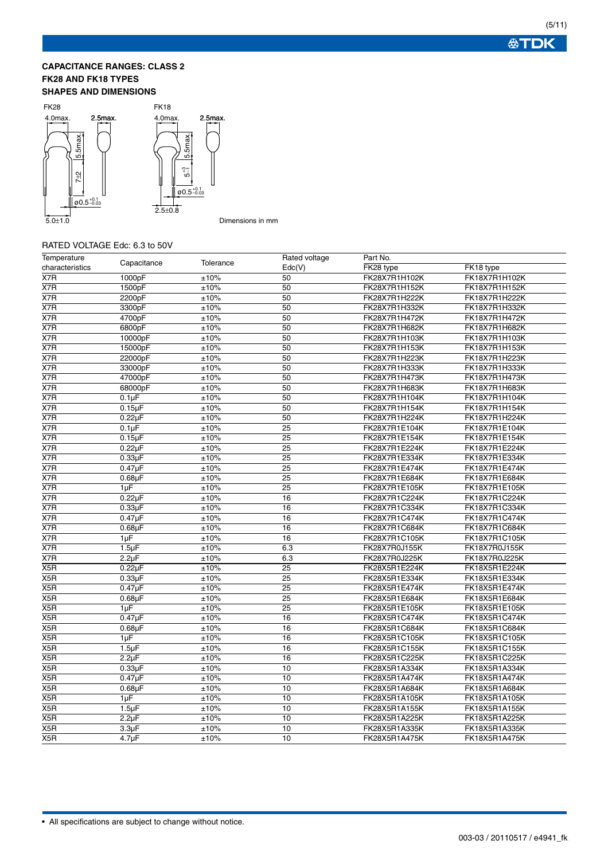# **CAPACITANCE RANGES: CLASS 2 FK28 AND FK18 TYPES SHAPES AND DIMENSIONS**



# RATED VOLTAGE Edc: 6.3 to 50V

| Temperature      | Capacitance        | Tolerance  | Rated voltage   | Part No.      |               |
|------------------|--------------------|------------|-----------------|---------------|---------------|
| characteristics  |                    |            | Edc(V)          | FK28 type     | FK18 type     |
| $\overline{X7R}$ | 1000pF             | $\pm 10\%$ | 50              | FK28X7R1H102K | FK18X7R1H102K |
| X7R              | 1500pF             | ±10%       | 50              | FK28X7R1H152K | FK18X7R1H152K |
| X7R              | 2200pF             | ±10%       | 50              | FK28X7R1H222K | FK18X7R1H222K |
| $\overline{X7R}$ | 3300pF             | ±10%       | 50              | FK28X7R1H332K | FK18X7R1H332K |
| X7R              | 4700pF             | ±10%       | 50              | FK28X7R1H472K | FK18X7R1H472K |
| X7R              | 6800pF             | ±10%       | 50              | FK28X7R1H682K | FK18X7R1H682K |
| X7R              | 10000pF            | ±10%       | 50              | FK28X7R1H103K | FK18X7R1H103K |
| X7R              | 15000pF            | ±10%       | 50              | FK28X7R1H153K | FK18X7R1H153K |
| $\overline{X7R}$ | 22000pF            | ±10%       | 50              | FK28X7R1H223K | FK18X7R1H223K |
| X7R              | 33000pF            | ±10%       | 50              | FK28X7R1H333K | FK18X7R1H333K |
| X7R              | 47000pF            | ±10%       | 50              | FK28X7R1H473K | FK18X7R1H473K |
| X7R              | 68000pF            | ±10%       | 50              | FK28X7R1H683K | FK18X7R1H683K |
| $\overline{X7R}$ | $0.1\mu F$         | ±10%       | 50              | FK28X7R1H104K | FK18X7R1H104K |
| X7R              | $0.15\mu F$        | ±10%       | 50              | FK28X7R1H154K | FK18X7R1H154K |
| X7R              | $0.22\mu F$        | ±10%       | 50              | FK28X7R1H224K | FK18X7R1H224K |
| $\overline{X7R}$ | 0.1 <sub>µ</sub> F | ±10%       | $\overline{25}$ | FK28X7R1E104K | FK18X7R1E104K |
| X7R              | $0.15\mu F$        | ±10%       | $\overline{25}$ | FK28X7R1E154K | FK18X7R1E154K |
| X7R              | $0.22\mu F$        | ±10%       | $\overline{25}$ | FK28X7R1E224K | FK18X7R1E224K |
| X7R              | $0.33\mu F$        | ±10%       | 25              | FK28X7R1E334K | FK18X7R1E334K |
| X7R              | $0.47\mu F$        | ±10%       | 25              | FK28X7R1E474K | FK18X7R1E474K |
| X7R              | $0.68\mu F$        | ±10%       | 25              | FK28X7R1E684K | FK18X7R1E684K |
| X7R              | 1µF                | ±10%       | $\overline{25}$ | FK28X7R1E105K | FK18X7R1E105K |
| X7R              | $0.22\mu F$        | ±10%       | 16              | FK28X7R1C224K | FK18X7R1C224K |
| X7R              | $0.33\mu F$        | ±10%       | 16              | FK28X7R1C334K | FK18X7R1C334K |
| X7R              | $0.47\mu F$        | ±10%       | 16              | FK28X7R1C474K | FK18X7R1C474K |
| X7R              | $0.68\mu F$        | ±10%       | 16              | FK28X7R1C684K | FK18X7R1C684K |
| X7R              | 1µF                | ±10%       | 16              | FK28X7R1C105K | FK18X7R1C105K |
| X7R              | $1.5 \mu F$        | ±10%       | 6.3             | FK28X7R0J155K | FK18X7R0J155K |
| X7R              | $2.2\mu F$         | ±10%       | 6.3             | FK28X7R0J225K | FK18X7R0J225K |
| X5R              | $0.22\mu F$        | ±10%       | 25              | FK28X5R1E224K | FK18X5R1E224K |
| X5R              | $0.33\mu F$        | ±10%       | 25              | FK28X5R1E334K | FK18X5R1E334K |
| X5R              | $0.47\mu F$        | ±10%       | 25              | FK28X5R1E474K | FK18X5R1E474K |
| X <sub>5</sub> R | $0.68\mu F$        | ±10%       | 25              | FK28X5R1E684K | FK18X5R1E684K |
| X5R              | 1µF                | ±10%       | 25              | FK28X5R1E105K | FK18X5R1E105K |
| X <sub>5</sub> R | $0.47\mu F$        | ±10%       | 16              | FK28X5R1C474K | FK18X5R1C474K |
| X5R              | $0.68\mu F$        | ±10%       | 16              | FK28X5R1C684K | FK18X5R1C684K |
| X5R              | $1\mu F$           | ±10%       | 16              | FK28X5R1C105K | FK18X5R1C105K |
| X5R              | 1.5 <sub>µ</sub> F | ±10%       | 16              | FK28X5R1C155K | FK18X5R1C155K |
| X5R              | $2.2\mu F$         | ±10%       | 16              | FK28X5R1C225K | FK18X5R1C225K |
| X5R              | $0.33\mu F$        | ±10%       | 10              | FK28X5R1A334K | FK18X5R1A334K |
| X5R              | $0.47\mu F$        | ±10%       | 10              | FK28X5R1A474K | FK18X5R1A474K |
| X5R              | $0.68\mu F$        | ±10%       | 10              | FK28X5R1A684K | FK18X5R1A684K |
| X5R              | $1\mu F$           | ±10%       | 10              | FK28X5R1A105K | FK18X5R1A105K |
| X5R              | 1.5 <sub>µ</sub> F | ±10%       | 10              | FK28X5R1A155K | FK18X5R1A155K |
| X5R              | $2.2\mu F$         | ±10%       | 10              | FK28X5R1A225K | FK18X5R1A225K |
| X5R              | 3.3 <sub>µ</sub> F | ±10%       | 10              | FK28X5R1A335K | FK18X5R1A335K |
| X5R              | $4.7 \mu F$        | ±10%       | 10              | FK28X5R1A475K | FK18X5R1A475K |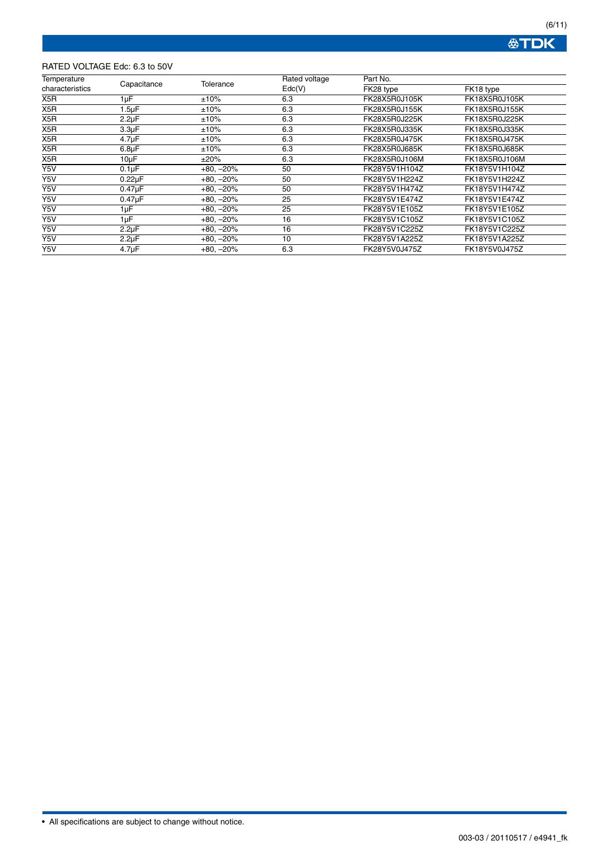**公下口K** 

# RATED VOLTAGE Edc: 6.3 to 50V

| Temperature                    |                    |                   | Rated voltage | Part No.      |               |
|--------------------------------|--------------------|-------------------|---------------|---------------|---------------|
| Capacitance<br>characteristics | Tolerance          | $\mathsf{Edc}(V)$ | FK28 type     | FK18 type     |               |
| X5R                            | 1µF                | ±10%              | 6.3           | FK28X5R0J105K | FK18X5R0J105K |
| X <sub>5</sub> R               | 1.5µF              | ±10%              | 6.3           | FK28X5R0J155K | FK18X5R0J155K |
| X <sub>5</sub> R               | $2.2\mu F$         | ±10%              | 6.3           | FK28X5R0J225K | FK18X5R0J225K |
| X <sub>5</sub> R               | 3.3 <sub>µ</sub> F | $±10\%$           | 6.3           | FK28X5R0J335K | FK18X5R0J335K |
| X5R                            | 4.7 <sub>µ</sub> F | ±10%              | 6.3           | FK28X5R0J475K | FK18X5R0J475K |
| X5R                            | $6.8\mu F$         | ±10%              | 6.3           | FK28X5R0J685K | FK18X5R0J685K |
| X <sub>5</sub> R               | $10\mu F$          | ±20%              | 6.3           | FK28X5R0J106M | FK18X5R0J106M |
| Y5V                            | $0.1 \mu F$        | $+80, -20%$       | 50            | FK28Y5V1H104Z | FK18Y5V1H104Z |
| Y5V                            | $0.22\mu F$        | $+80, -20%$       | 50            | FK28Y5V1H224Z | FK18Y5V1H224Z |
| Y5V                            | $0.47\mu F$        | $+80, -20%$       | 50            | FK28Y5V1H474Z | FK18Y5V1H474Z |
| Y5V                            | $0.47\mu F$        | $+80, -20%$       | 25            | FK28Y5V1E474Z | FK18Y5V1E474Z |
| Y5V                            | 1µF                | $+80, -20%$       | 25            | FK28Y5V1E105Z | FK18Y5V1E105Z |
| Y5V                            | 1µF                | $+80, -20%$       | 16            | FK28Y5V1C105Z | FK18Y5V1C105Z |
| Y5V                            | $2.2\mu F$         | $+80, -20%$       | 16            | FK28Y5V1C225Z | FK18Y5V1C225Z |
| Y5V                            | $2.2\mu F$         | $+80, -20%$       | 10            | FK28Y5V1A225Z | FK18Y5V1A225Z |
| Y5V                            | 4.7 <sub>µ</sub> F | $+80, -20%$       | 6.3           | FK28Y5V0J475Z | FK18Y5V0J475Z |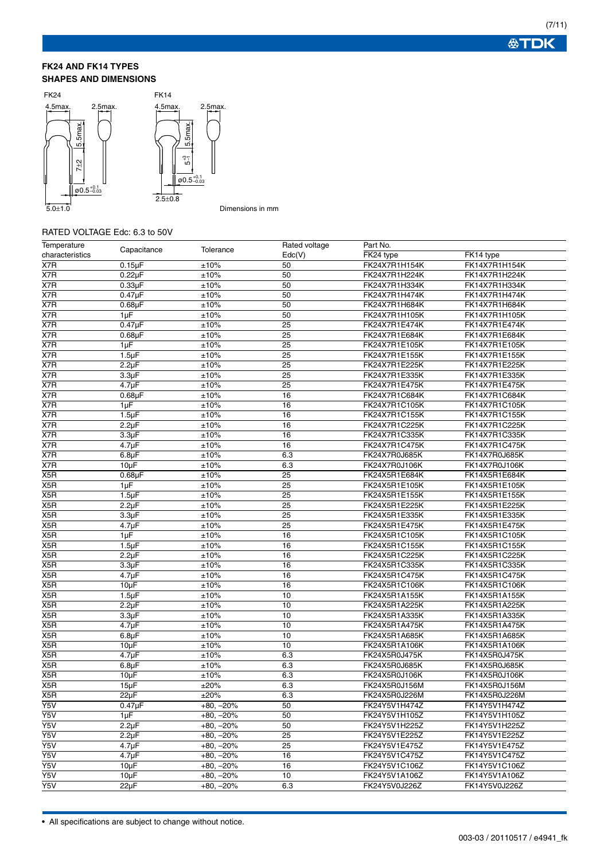#### **FK24 AND FK14 TYPES SHAPES AND DIMENSIONS**



Dimensions in mm

# RATED VOLTAGE Edc: 6.3 to 50V

| Temperature      | Capacitance        | Tolerance   | Rated voltage     | Part No.      |               |
|------------------|--------------------|-------------|-------------------|---------------|---------------|
| characteristics  |                    |             | $\mathsf{Edc}(V)$ | FK24 type     | FK14 type     |
| X7R              | $0.15 \mu F$       | ±10%        | 50                | FK24X7R1H154K | FK14X7R1H154K |
| X7R              | $0.22\mu F$        | ±10%        | 50                | FK24X7R1H224K | FK14X7R1H224K |
| X7R              | $0.33\mu F$        | ±10%        | 50                | FK24X7R1H334K | FK14X7R1H334K |
| X7R              | $0.47\mu F$        | ±10%        | 50                | FK24X7R1H474K | FK14X7R1H474K |
| X7R              | $0.68$ u $F$       | ±10%        | 50                | FK24X7R1H684K | FK14X7R1H684K |
| X7R              | $1\mu F$           | ±10%        | 50                | FK24X7R1H105K | FK14X7R1H105K |
| X7R              | $0.47 \mu F$       | ±10%        | $\overline{25}$   | FK24X7R1E474K | FK14X7R1E474K |
| X7R              | $0.68\mu F$        | ±10%        | 25                | FK24X7R1E684K | FK14X7R1E684K |
| X7R              | $1\mu F$           | ±10%        | $\overline{25}$   | FK24X7R1E105K | FK14X7R1E105K |
| X7R              | $1.5 \mu F$        | ±10%        | 25                | FK24X7R1E155K | FK14X7R1E155K |
| X7R              | $2.2\mu F$         | ±10%        | 25                | FK24X7R1E225K | FK14X7R1E225K |
| X7R              | 3.3 <sub>µ</sub> F | ±10%        | 25                | FK24X7R1E335K | FK14X7R1E335K |
| X7R              | $4.7 \mu F$        | ±10%        | 25                | FK24X7R1E475K | FK14X7R1E475K |
| X7R              | $0.68\mu F$        | ±10%        | 16                | FK24X7R1C684K | FK14X7R1C684K |
| X7R              | $1\mu F$           | ±10%        | 16                | FK24X7R1C105K | FK14X7R1C105K |
| X7R              | $1.5 \mu F$        | ±10%        | 16                | FK24X7R1C155K | FK14X7R1C155K |
| X7R              | $2.2\mu F$         | ±10%        | 16                | FK24X7R1C225K | FK14X7R1C225K |
| X7R              | 3.3 <sub>µ</sub> F | ±10%        | 16                | FK24X7R1C335K | FK14X7R1C335K |
| $\overline{X7R}$ | $4.7 \mu F$        | ±10%        | 16                | FK24X7R1C475K | FK14X7R1C475K |
| X7R              | $6.8\mu F$         | ±10%        | 6.3               | FK24X7R0J685K | FK14X7R0J685K |
| X7R              | $10\mu F$          | ±10%        | 6.3               | FK24X7R0J106K | FK14X7R0J106K |
| X5R              | $0.68\mu F$        | ±10%        | 25                | FK24X5R1E684K | FK14X5R1E684K |
| X5R              | $1\mu F$           | ±10%        | 25                | FK24X5R1E105K | FK14X5R1E105K |
| X5R              | 1.5 <sub>µ</sub> F | ±10%        | 25                | FK24X5R1E155K | FK14X5R1E155K |
| X <sub>5</sub> R | $2.2\mu F$         | ±10%        | 25                | FK24X5R1E225K | FK14X5R1E225K |
| X5R              | 3.3 <sub>µ</sub> F | ±10%        | 25                | FK24X5R1E335K | FK14X5R1E335K |
| X5R              | $4.7 \mu F$        | ±10%        | 25                | FK24X5R1E475K | FK14X5R1E475K |
| X5R              | $1\mu F$           | ±10%        | 16                | FK24X5R1C105K | FK14X5R1C105K |
| X5R              | $1.5 \mu F$        | ±10%        | 16                | FK24X5R1C155K | FK14X5R1C155K |
| X5R              | $2.2\mu F$         | ±10%        | 16                | FK24X5R1C225K | FK14X5R1C225K |
| X5R              | 3.3 <sub>µ</sub> F | ±10%        | 16                | FK24X5R1C335K | FK14X5R1C335K |
| X5R              | $4.7 \mu F$        | ±10%        | 16                | FK24X5R1C475K | FK14X5R1C475K |
| X5R              | $10\mu F$          | $\pm 10\%$  | 16                | FK24X5R1C106K | FK14X5R1C106K |
| X5R              | $1.5 \mu F$        | ±10%        | 10                | FK24X5R1A155K | FK14X5R1A155K |
| X5R              | $2.2\mu F$         | ±10%        | 10                | FK24X5R1A225K | FK14X5R1A225K |
| X5R              | 3.3 <sub>µ</sub> F | ±10%        | 10                | FK24X5R1A335K | FK14X5R1A335K |
| X5R              | $4.7 \mu F$        | ±10%        | 10                | FK24X5R1A475K | FK14X5R1A475K |
| X5R              | $6.8\mu F$         | ±10%        | 10                | FK24X5R1A685K | FK14X5R1A685K |
| X5R              | $10\mu F$          | ±10%        | 10                | FK24X5R1A106K | FK14X5R1A106K |
| X5R              | $4.7 \mu F$        | ±10%        | 6.3               | FK24X5R0J475K | FK14X5R0J475K |
| X5R              | $6.8\mu F$         | ±10%        | 6.3               | FK24X5R0J685K | FK14X5R0J685K |
| X5R              | $10\mu F$          | ±10%        | 6.3               | FK24X5R0J106K | FK14X5R0J106K |
| X5R              | $15\mu F$          | ±20%        | 6.3               | FK24X5R0J156M | FK14X5R0J156M |
| X <sub>5</sub> R | $22\mu F$          | ±20%        | 6.3               | FK24X5R0J226M | FK14X5R0J226M |
| Y5V              | $0.47\mu F$        | $+80, -20%$ | 50                | FK24Y5V1H474Z | FK14Y5V1H474Z |
| Y5V              | $1 \mu F$          | $+80, -20%$ | 50                | FK24Y5V1H105Z | FK14Y5V1H105Z |
| Y5V              | $2.2\mu F$         | $+80, -20%$ | 50                | FK24Y5V1H225Z | FK14Y5V1H225Z |
| Y5V              | $2.2 \mu F$        | $+80, -20%$ | 25                | FK24Y5V1E225Z | FK14Y5V1E225Z |
| Y5V              | 4.7 <sub>µ</sub> F | $+80, -20%$ | 25                | FK24Y5V1E475Z | FK14Y5V1E475Z |
| $\overline{Y5V}$ | $4.7 \mu F$        | $+80, -20%$ | 16                | FK24Y5V1C475Z | FK14Y5V1C475Z |
| Y5V              | $10\mu F$          | $+80, -20%$ | 16                | FK24Y5V1C106Z | FK14Y5V1C106Z |
| Y5V              | $10\mu F$          | $+80, -20%$ | 10                | FK24Y5V1A106Z | FK14Y5V1A106Z |
| Y5V              | $22\mu F$          | $+80, -20%$ | 6.3               | FK24Y5V0J226Z | FK14Y5V0J226Z |
|                  |                    |             |                   |               |               |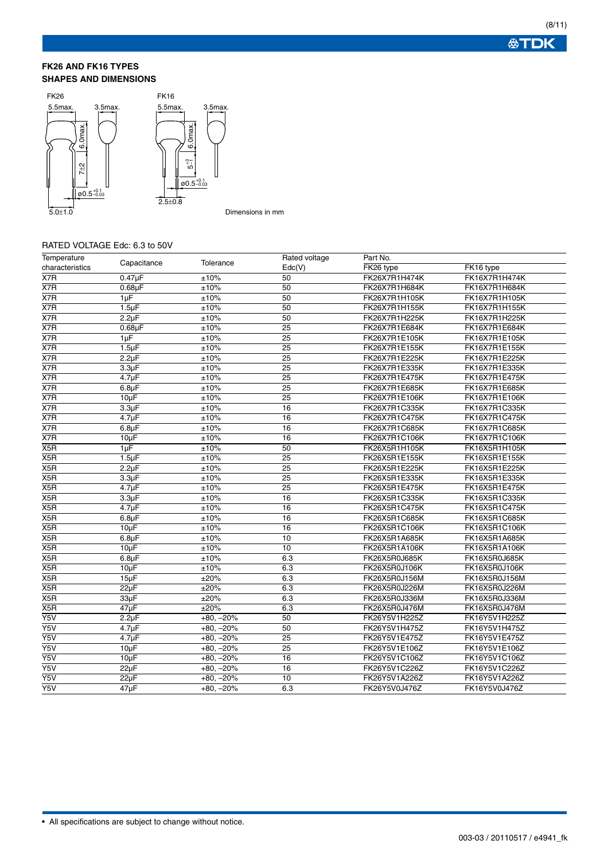# **FK26 AND FK16 TYPES SHAPES AND DIMENSIONS**



Dimensions in mm

# RATED VOLTAGE Edc: 6.3 to 50V

| Temperature<br>characteristics | Capacitance        | Tolerance   | Rated voltage   | Part No.      |               |
|--------------------------------|--------------------|-------------|-----------------|---------------|---------------|
|                                |                    |             | Edc(V)          | FK26 type     | FK16 type     |
| X7R                            | $0.47\mu F$        | ±10%        | 50              | FK26X7R1H474K | FK16X7R1H474K |
| X7R                            | $0.68\mu F$        | $\pm 10\%$  | 50              | FK26X7R1H684K | FK16X7R1H684K |
| X7R                            | $1\mu F$           | ±10%        | 50              | FK26X7R1H105K | FK16X7R1H105K |
| X7R                            | $1.5 \mu F$        | $\pm 10\%$  | 50              | FK26X7R1H155K | FK16X7R1H155K |
| X7R                            | $2.2 \mu F$        | ±10%        | 50              | FK26X7R1H225K | FK16X7R1H225K |
| X7R                            | $0.68\mu F$        | ±10%        | 25              | FK26X7R1E684K | FK16X7R1E684K |
| X7R                            | $1 \mu F$          | ±10%        | 25              | FK26X7R1E105K | FK16X7R1E105K |
| X7R                            | $1.5 \mu F$        | ±10%        | 25              | FK26X7R1E155K | FK16X7R1E155K |
| X7R                            | $2.2 \mu F$        | ±10%        | 25              | FK26X7R1E225K | FK16X7R1E225K |
| X7R                            | 3.3 <sub>µ</sub> F | ±10%        | 25              | FK26X7R1E335K | FK16X7R1E335K |
| X7R                            | $4.7 \mu F$        | ±10%        | 25              | FK26X7R1E475K | FK16X7R1E475K |
| X7R                            | $6.8\mu F$         | ±10%        | $\overline{25}$ | FK26X7R1E685K | FK16X7R1E685K |
| X7R                            | $10\mu F$          | ±10%        | 25              | FK26X7R1E106K | FK16X7R1E106K |
| X7R                            | 3.3 <sub>µ</sub> F | ±10%        | 16              | FK26X7R1C335K | FK16X7R1C335K |
| X7R                            | $4.7 \mu F$        | $\pm 10\%$  | 16              | FK26X7R1C475K | FK16X7R1C475K |
| X7R                            | $6.8\mu F$         | ±10%        | $\overline{16}$ | FK26X7R1C685K | FK16X7R1C685K |
| X7R                            | $10\mu F$          | ±10%        | 16              | FK26X7R1C106K | FK16X7R1C106K |
| X5R                            | $1\mu F$           | ±10%        | 50              | FK26X5R1H105K | FK16X5R1H105K |
| X5R                            | $1.5 \mu F$        | ±10%        | 25              | FK26X5R1E155K | FK16X5R1E155K |
| X5R                            | $2.2 \mu F$        | ±10%        | 25              | FK26X5R1E225K | FK16X5R1E225K |
| X5R                            | 3.3 <sub>µ</sub> F | ±10%        | 25              | FK26X5R1E335K | FK16X5R1E335K |
| X5R                            | $4.7 \mu F$        | $\pm 10\%$  | 25              | FK26X5R1E475K | FK16X5R1E475K |
| X5R                            | $3.3 \mu F$        | ±10%        | 16              | FK26X5R1C335K | FK16X5R1C335K |
| X5R                            | $4.7 \mu F$        | ±10%        | 16              | FK26X5R1C475K | FK16X5R1C475K |
| X5R                            | $6.8 \mu F$        | ±10%        | 16              | FK26X5R1C685K | FK16X5R1C685K |
| X5R                            | $10\mu F$          | ±10%        | 16              | FK26X5R1C106K | FK16X5R1C106K |
| X5R                            | $6.8 \mu F$        | ±10%        | $\overline{10}$ | FK26X5R1A685K | FK16X5R1A685K |
| X5R                            | $10\mu F$          | $\pm 10\%$  | 10              | FK26X5R1A106K | FK16X5R1A106K |
| X5R                            | $6.8\mu F$         | ±10%        | 6.3             | FK26X5R0J685K | FK16X5R0J685K |
| X5R                            | $10\mu F$          | ±10%        | 6.3             | FK26X5R0J106K | FK16X5R0J106K |
| X5R                            | $15\mu F$          | ±20%        | 6.3             | FK26X5R0J156M | FK16X5R0J156M |
| X5R                            | $22\mu F$          | ±20%        | 6.3             | FK26X5R0J226M | FK16X5R0J226M |
| X5R                            | $33\mu F$          | ±20%        | 6.3             | FK26X5R0J336M | FK16X5R0J336M |
| X5R                            | 47µF               | ±20%        | 6.3             | FK26X5R0J476M | FK16X5R0J476M |
| $\overline{Y5V}$               | $2.2\mu F$         | $+80, -20%$ | 50              | FK26Y5V1H225Z | FK16Y5V1H225Z |
| Y5V                            | $4.7 \mu F$        | $+80, -20%$ | 50              | FK26Y5V1H475Z | FK16Y5V1H475Z |
| Y5V                            | $4.7 \mu F$        | $+80, -20%$ | 25              | FK26Y5V1E475Z | FK16Y5V1E475Z |
| Y5V                            | $10\mu F$          | $+80, -20%$ | 25              | FK26Y5V1E106Z | FK16Y5V1E106Z |
| $\overline{Y5V}$               | $10\mu F$          | $+80, -20%$ | $\overline{16}$ | FK26Y5V1C106Z | FK16Y5V1C106Z |
| $\overline{Y5V}$               | $22\mu F$          | $+80, -20%$ | 16              | FK26Y5V1C226Z | FK16Y5V1C226Z |
| $\overline{Y5V}$               | $22\mu F$          | $+80, -20%$ | 10              | FK26Y5V1A226Z | FK16Y5V1A226Z |
| $\overline{Y5V}$               | $47\mu F$          | $+80, -20%$ | 6.3             | FK26Y5V0J476Z | FK16Y5V0J476Z |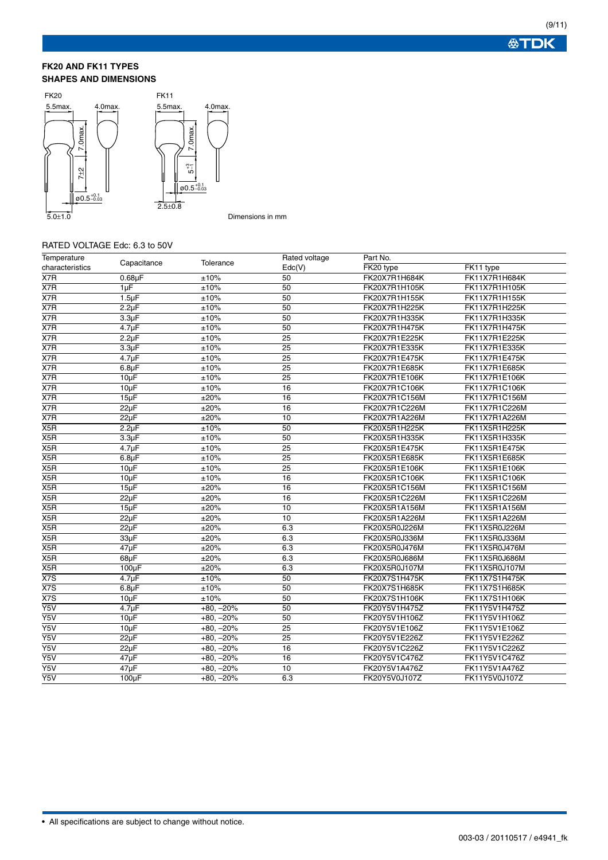# **FK20 AND FK11 TYPES SHAPES AND DIMENSIONS**



#### Dimensions in mm

# RATED VOLTAGE Edc: 6.3 to 50V

| Temperature      | Capacitance        | Tolerance   | Rated voltage   | Part No.      |               |
|------------------|--------------------|-------------|-----------------|---------------|---------------|
| characteristics  |                    |             | Edc(V)          | FK20 type     | FK11 type     |
| X7R              | $0.68\mu F$        | ±10%        | 50              | FK20X7R1H684K | FK11X7R1H684K |
| X7R              | $1\mu F$           | ±10%        | 50              | FK20X7R1H105K | FK11X7R1H105K |
| X7R              | $1.5 \mu F$        | ±10%        | 50              | FK20X7R1H155K | FK11X7R1H155K |
| X7R              | $2.2\mu F$         | ±10%        | 50              | FK20X7R1H225K | FK11X7R1H225K |
| X7R              | 3.3 <sub>µ</sub> F | ±10%        | 50              | FK20X7R1H335K | FK11X7R1H335K |
| X7R              | $4.7 \mu F$        | ±10%        | 50              | FK20X7R1H475K | FK11X7R1H475K |
| X7R              | $2.2\mu F$         | ±10%        | 25              | FK20X7R1E225K | FK11X7R1E225K |
| X7R              | 3.3 <sub>µ</sub> F | ±10%        | 25              | FK20X7R1E335K | FK11X7R1E335K |
| X7R              | 4.7 <sub>µ</sub> F | ±10%        | 25              | FK20X7R1E475K | FK11X7R1E475K |
| X7R              | $6.8\mu F$         | ±10%        | 25              | FK20X7R1E685K | FK11X7R1E685K |
| X7R              | $10\mu F$          | ±10%        | 25              | FK20X7R1E106K | FK11X7R1E106K |
| X7R              | $10\mu F$          | ±10%        | 16              | FK20X7R1C106K | FK11X7R1C106K |
| X7R              | $15\mu F$          | ±20%        | 16              | FK20X7R1C156M | FK11X7R1C156M |
| X7R              | $22\mu F$          | ±20%        | 16              | FK20X7R1C226M | FK11X7R1C226M |
| X7R              | $22\mu F$          | ±20%        | 10              | FK20X7R1A226M | FK11X7R1A226M |
| X5R              | $2.2\mu F$         | ±10%        | 50              | FK20X5R1H225K | FK11X5R1H225K |
| X5R              | 3.3 <sub>µ</sub> F | ±10%        | 50              | FK20X5R1H335K | FK11X5R1H335K |
| X5R              | $4.7 \mu F$        | ±10%        | $\overline{25}$ | FK20X5R1E475K | FK11X5R1E475K |
| X5R              | 6.8 <sub>µ</sub> F | ±10%        | 25              | FK20X5R1E685K | FK11X5R1E685K |
| X5R              | $10\mu F$          | ±10%        | 25              | FK20X5R1E106K | FK11X5R1E106K |
| X5R              | $10\mu F$          | ±10%        | 16              | FK20X5R1C106K | FK11X5R1C106K |
| X <sub>5</sub> R | $15\mu F$          | ±20%        | 16              | FK20X5R1C156M | FK11X5R1C156M |
| X5R              | $22\mu F$          | ±20%        | 16              | FK20X5R1C226M | FK11X5R1C226M |
| X <sub>5</sub> R | $15\mu F$          | ±20%        | 10              | FK20X5R1A156M | FK11X5R1A156M |
| X5R              | $22\mu F$          | ±20%        | 10              | FK20X5R1A226M | FK11X5R1A226M |
| X5R              | $22\mu F$          | ±20%        | 6.3             | FK20X5R0J226M | FK11X5R0J226M |
| X5R              | 33µF               | ±20%        | 6.3             | FK20X5R0J336M | FK11X5R0J336M |
| X5R              | $47\mu F$          | ±20%        | 6.3             | FK20X5R0J476M | FK11X5R0J476M |
| $\overline{X5R}$ | 68µF               | ±20%        | 6.3             | FK20X5R0J686M | FK11X5R0J686M |
| X5R              | 100µF              | ±20%        | 6.3             | FK20X5R0J107M | FK11X5R0J107M |
| X7S              | 4.7 <sub>µ</sub> F | ±10%        | 50              | FK20X7S1H475K | FK11X7S1H475K |
| X7S              | 6.8 <sub>µ</sub> F | ±10%        | 50              | FK20X7S1H685K | FK11X7S1H685K |
| X <sub>7</sub> S | $10\mu F$          | ±10%        | 50              | FK20X7S1H106K | FK11X7S1H106K |
| Y5V              | 4.7 <sub>u</sub> F | $+80, -20%$ | 50              | FK20Y5V1H475Z | FK11Y5V1H475Z |
| Y5V              | $10\mu F$          | $+80, -20%$ | 50              | FK20Y5V1H106Z | FK11Y5V1H106Z |
| Y5V              | $10\mu F$          | $+80, -20%$ | 25              | FK20Y5V1E106Z | FK11Y5V1E106Z |
| Y5V              | $22\mu F$          | $+80, -20%$ | 25              | FK20Y5V1E226Z | FK11Y5V1E226Z |
| Y5V              | $22\mu F$          | $+80, -20%$ | 16              | FK20Y5V1C226Z | FK11Y5V1C226Z |
| Y5V              | 47µF               | $+80, -20%$ | 16              | FK20Y5V1C476Z | FK11Y5V1C476Z |
| $\overline{Y5V}$ | $47\mu F$          | $+80, -20%$ | 10              | FK20Y5V1A476Z | FK11Y5V1A476Z |
| Y5V              | $100 \mu F$        | $+80, -20%$ | 6.3             | FK20Y5V0J107Z | FK11Y5V0J107Z |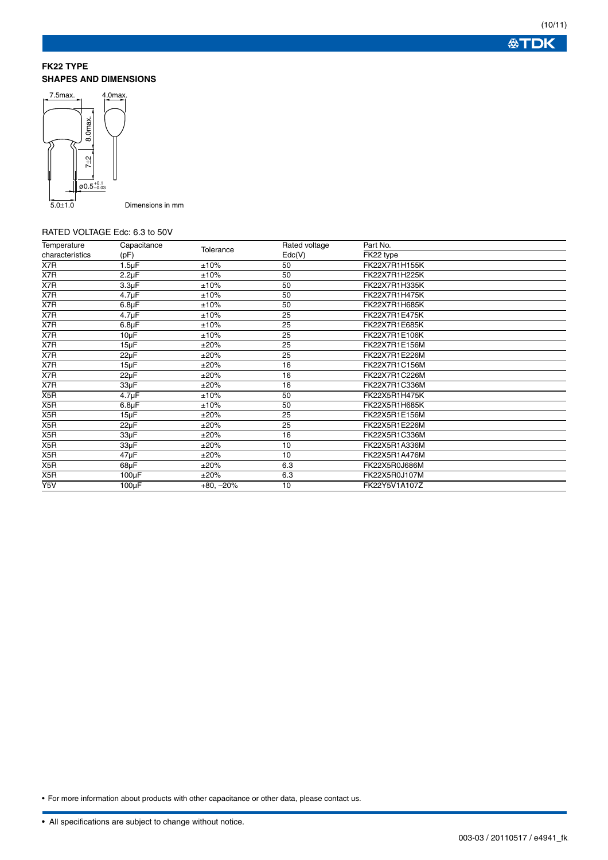(10/11) **公丁DK** 

# **FK22 TYPE SHAPES AND DIMENSIONS**



Dimensions in mm

#### RATED VOLTAGE Edc: 6.3 to 50V

| Temperature      | Capacitance        |             | Rated voltage | Part No.      |
|------------------|--------------------|-------------|---------------|---------------|
| characteristics  | (pF)               | Tolerance   | Edc(V)        | FK22 type     |
| X7R              | $1.5 \mu F$        | ±10%        | 50            | FK22X7R1H155K |
| X7R              | $2.2\mu F$         | ±10%        | 50            | FK22X7R1H225K |
| X7R              | 3.3 <sub>µ</sub> F | ±10%        | 50            | FK22X7R1H335K |
| X7R              | $4.7 \mu F$        | ±10%        | 50            | FK22X7R1H475K |
| X7R              | $6.8\mu F$         | ±10%        | 50            | FK22X7R1H685K |
| X7R              | $4.7 \mu F$        | ±10%        | 25            | FK22X7R1E475K |
| X7R              | $6.8\mu F$         | ±10%        | 25            | FK22X7R1E685K |
| X7R              | $10\mu F$          | ±10%        | 25            | FK22X7R1E106K |
| X7R              | $15\mu F$          | ±20%        | 25            | FK22X7R1E156M |
| X7R              | $22\mu F$          | ±20%        | 25            | FK22X7R1E226M |
| X7R              | $15\mu F$          | ±20%        | 16            | FK22X7R1C156M |
| X7R              | $22\mu F$          | ±20%        | 16            | FK22X7R1C226M |
| X7R              | 33µF               | ±20%        | 16            | FK22X7R1C336M |
| X5R              | $4.7 \mu F$        | ±10%        | 50            | FK22X5R1H475K |
| X5R              | $6.8\mu F$         | ±10%        | 50            | FK22X5R1H685K |
| X5R              | $15\mu F$          | ±20%        | 25            | FK22X5R1E156M |
| X5R              | $22\mu F$          | ±20%        | 25            | FK22X5R1E226M |
| X5R              | $33\mu F$          | ±20%        | 16            | FK22X5R1C336M |
| X5R              | $33\mu F$          | ±20%        | 10            | FK22X5R1A336M |
| X5R              | 47µF               | ±20%        | 10            | FK22X5R1A476M |
| X5R              | $68\mu F$          | ±20%        | 6.3           | FK22X5R0J686M |
| X5R              | $100\mu F$         | ±20%        | 6.3           | FK22X5R0J107M |
| $\overline{Y5V}$ | $100\mu F$         | $+80, -20%$ | 10            | FK22Y5V1A107Z |

• For more information about products with other capacitance or other data, please contact us.